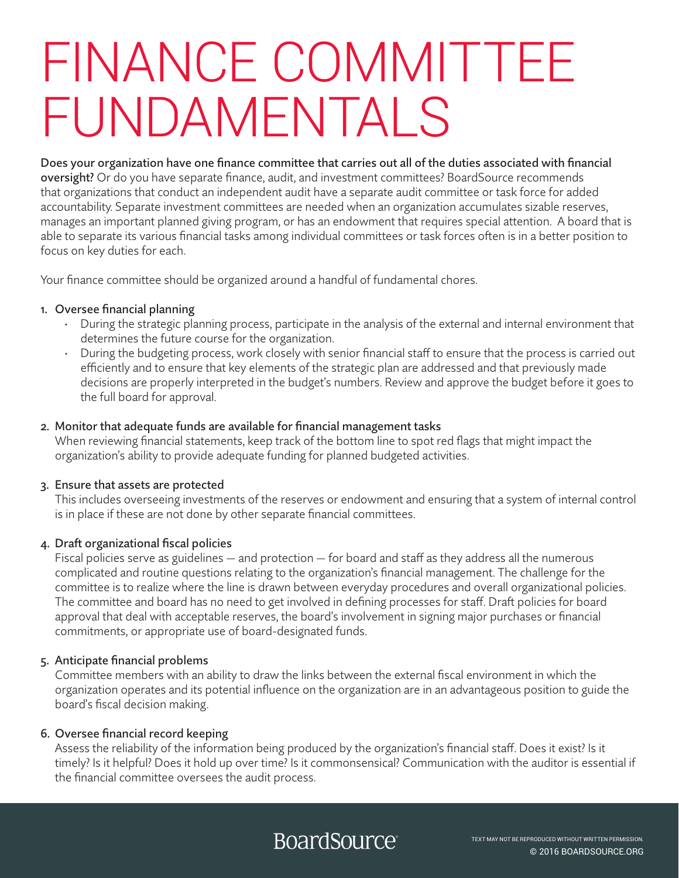# FINANCE COMMITTEE FUNDAMENTALS

Does your organization have one finance committee that carries out all of the duties associated with financial oversight? Or do you have separate finance, audit, and investment committees? BoardSource recommends that organizations that conduct an independent audit have a separate audit committee or task force for added accountability. Separate investment committees are needed when an organization accumulates sizable reserves, manages an important planned giving program, or has an endowment that requires special attention. A board that is able to separate its various financial tasks among individual committees or task forces often is in a better position to focus on key duties for each.

Your finance committee should be organized around a handful of fundamental chores.

#### 1. Oversee financial planning

- During the strategic planning process, participate in the analysis of the external and internal environment that determines the future course for the organization.
- During the budgeting process, work closely with senior financial staff to ensure that the process is carried out efficiently and to ensure that key elements of the strategic plan are addressed and that previously made decisions are properly interpreted in the budget's numbers. Review and approve the budget before it goes to the full board for approval.

#### 2. Monitor that adequate funds are available for financial management tasks

When reviewing financial statements, keep track of the bottom line to spot red flags that might impact the organization's ability to provide adequate funding for planned budgeted activities.

#### 3. Ensure that assets are protected

This includes overseeing investments of the reserves or endowment and ensuring that a system of internal control is in place if these are not done by other separate financial committees.

#### 4. Draft organizational fiscal policies

Fiscal policies serve as guidelines — and protection — for board and staff as they address all the numerous complicated and routine questions relating to the organization's financial management. The challenge for the committee is to realize where the line is drawn between everyday procedures and overall organizational policies. The committee and board has no need to get involved in defining processes for staff. Draft policies for board approval that deal with acceptable reserves, the board's involvement in signing major purchases or financial commitments, or appropriate use of board-designated funds.

#### 5. Anticipate financial problems

Committee members with an ability to draw the links between the external fiscal environment in which the organization operates and its potential influence on the organization are in an advantageous position to guide the board's fiscal decision making.

#### 6. Oversee financial record keeping

Assess the reliability of the information being produced by the organization's financial staff. Does it exist? Is it timely? Is it helpful? Does it hold up over time? Is it commonsensical? Communication with the auditor is essential if the financial committee oversees the audit process.

### **BoardSource**®